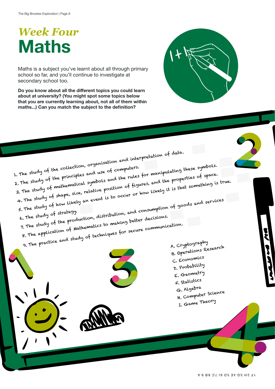## *Week Four* **Maths**

Maths is a subject you've learnt about all through primary school so far, and you'll continue to investigate at secondary school too.

**Do you know about all the different topics you could learn about at university? (You might spot some topics below that you are currently learning about, not all of them within maths...) Can you match the subject to the definition?**

1. The study of the collection, organisation and interpretation of data.<br>2. The study of the principles and use of computers. 1. The study of the collection, organismedia and use of computers.<br>2. The study of the principles and use of computers, and the properties of space<br>3. The study of mathematical symbols and the rules, and the properties of 4. The study of shape, size, relative position of figures, and the properties of space. 5. The study of how likely an event is to occur or how likely it is that something is true.<br>6. The study of strategy.<br>6. The study of strategy. 6. The study of strategy. The study of how likely an event of<br>the study of strategy.<br>7. The study of the production, distribution, and consumption of goods and services<br>7. The study of the production, distribution, and consumptions.

8. The application of Mathematics to making better decisions. 9. The practice and study of techniques for secure communication.

- 
- 



A. Cryptography B. Operations Research C. Economics D. Probability E. Geometry F. Statistics G. Algebra H. Computer Science I. Game Theory